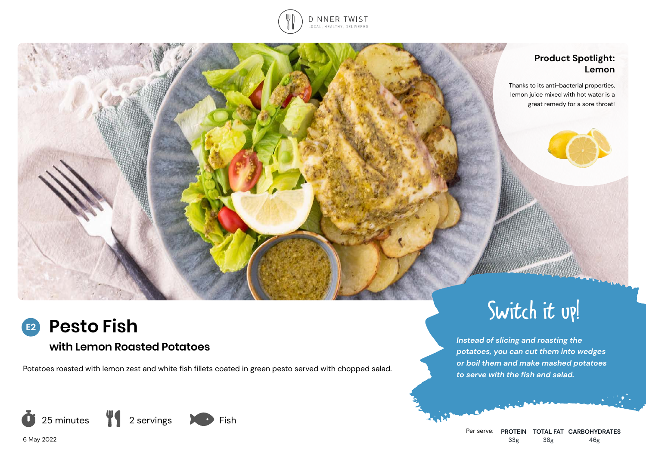

#### **Product Spotlight: Lemon**

Thanks to its anti-bacterial properties, lemon juice mixed with hot water is a great remedy for a sore throat!

# **Pesto Fish**

## **with Lemon Roasted Potatoes**

Potatoes roasted with lemon zest and white fish fillets coated in green pesto served with chopped salad.



Per serve: **PROTEIN TOTAL FAT CARBOHYDRATES** 33g 38g 46g

Switch it up!

*potatoes, you can cut them into wedges or boil them and make mashed potatoes*

*Instead of slicing and roasting the* 

*to serve with the fish and salad.*

6 May 2022

**E2**